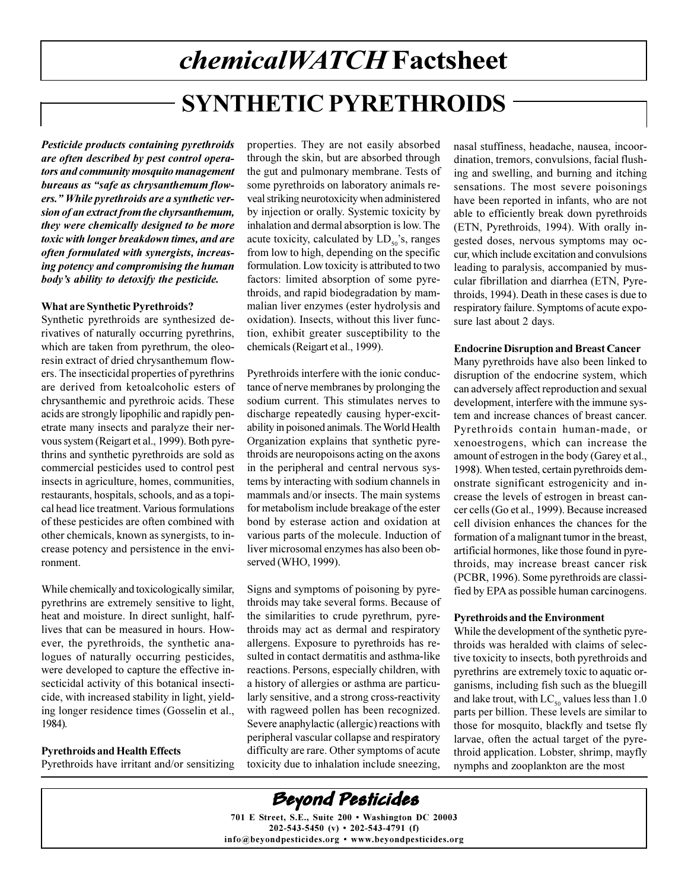# chemicalWATCH Factsheet **SYNTHETIC PYRETHROIDS**

Pesticide products containing pyrethroids are often described by pest control operators and community mosquito management bureaus as "safe as chrysanthemum flowers." While pyrethroids are a synthetic version of an extract from the chyrsanthemum, they were chemically designed to be more toxic with longer breakdown times, and are often formulated with synergists, increasing potency and compromising the human body's ability to detoxify the pesticide.

#### **What are Synthetic Pyrethroids?**

Synthetic pyrethroids are synthesized derivatives of naturally occurring pyrethrins, which are taken from pyrethrum, the oleoresin extract of dried chrysanthemum flowers. The insecticidal properties of pyrethrins are derived from ketoalcoholic esters of chrysanthemic and pyrethroic acids. These acids are strongly lipophilic and rapidly penetrate many insects and paralyze their nervous system (Reigart et al., 1999). Both pyrethrins and synthetic pyrethroids are sold as commercial pesticides used to control pest insects in agriculture, homes, communities, restaurants, hospitals, schools, and as a topical head lice treatment. Various formulations of these pesticides are often combined with other chemicals, known as synergists, to increase potency and persistence in the environment.

While chemically and toxicologically similar, pyrethrins are extremely sensitive to light, heat and moisture. In direct sunlight, halflives that can be measured in hours. However, the pyrethroids, the synthetic analogues of naturally occurring pesticides, were developed to capture the effective insecticidal activity of this botanical insecticide, with increased stability in light, yielding longer residence times (Gosselin et al., 1984).

#### **Pyrethroids and Health Effects**

Pyrethroids have irritant and/or sensitizing

properties. They are not easily absorbed through the skin, but are absorbed through the gut and pulmonary membrane. Tests of some pyrethroids on laboratory animals reveal striking neurotoxicity when administered by injection or orally. Systemic toxicity by inhalation and dermal absorption is low. The acute toxicity, calculated by  $LD_{50}$ 's, ranges from low to high, depending on the specific formulation. Low toxicity is attributed to two factors: limited absorption of some pyrethroids, and rapid biodegradation by mammalian liver enzymes (ester hydrolysis and oxidation). Insects, without this liver function, exhibit greater susceptibility to the chemicals (Reigart et al., 1999).

Pyrethroids interfere with the ionic conductance of nerve membranes by prolonging the sodium current. This stimulates nerves to discharge repeatedly causing hyper-excitability in poisoned animals. The World Health Organization explains that synthetic pyrethroids are neuropoisons acting on the axons in the peripheral and central nervous systems by interacting with sodium channels in mammals and/or insects. The main systems for metabolism include breakage of the ester bond by esterase action and oxidation at various parts of the molecule. Induction of liver microsomal enzymes has also been observed (WHO, 1999).

Signs and symptoms of poisoning by pyrethroids may take several forms. Because of the similarities to crude pyrethrum, pyrethroids may act as dermal and respiratory allergens. Exposure to pyrethroids has resulted in contact dermatitis and asthma-like reactions. Persons, especially children, with a history of allergies or asthma are particularly sensitive, and a strong cross-reactivity with ragweed pollen has been recognized. Severe anaphylactic (allergic) reactions with peripheral vascular collapse and respiratory difficulty are rare. Other symptoms of acute toxicity due to inhalation include sneezing,

nasal stuffiness, headache, nausea, incoordination, tremors, convulsions, facial flushing and swelling, and burning and itching sensations. The most severe poisonings have been reported in infants, who are not able to efficiently break down pyrethroids (ETN, Pyrethroids, 1994). With orally ingested doses, nervous symptoms may occur, which include excitation and convulsions leading to paralysis, accompanied by muscular fibrillation and diarrhea (ETN, Pyrethroids, 1994). Death in these cases is due to respiratory failure. Symptoms of acute exposure last about 2 days.

#### **Endocrine Disruption and Breast Cancer**

Many pyrethroids have also been linked to disruption of the endocrine system, which can adversely affect reproduction and sexual development, interfere with the immune system and increase chances of breast cancer. Pyrethroids contain human-made, or xenoestrogens, which can increase the amount of estrogen in the body (Garey et al., 1998). When tested, certain pyrethroids demonstrate significant estrogenicity and increase the levels of estrogen in breast cancer cells (Go et al., 1999). Because increased cell division enhances the chances for the formation of a malignant tumor in the breast, artificial hormones, like those found in pyrethroids, may increase breast cancer risk (PCBR, 1996). Some pyrethroids are classified by EPA as possible human carcinogens.

#### **Pyrethroids and the Environment**

While the development of the synthetic pyrethroids was heralded with claims of selective toxicity to insects, both pyrethroids and pyrethrins are extremely toxic to aquatic organisms, including fish such as the bluegill and lake trout, with  $LC_{50}$  values less than 1.0 parts per billion. These levels are similar to those for mosquito, blackfly and tsetse fly larvae, often the actual target of the pyrethroid application. Lobster, shrimp, mayfly nymphs and zooplankton are the most

**Beyond Pesticides** 701 E Street, S.E., Suite 200 • Washington DC 20003 202-543-5450 (v) • 202-543-4791 (f) info@bevondpesticides.org • www.bevondpesticides.org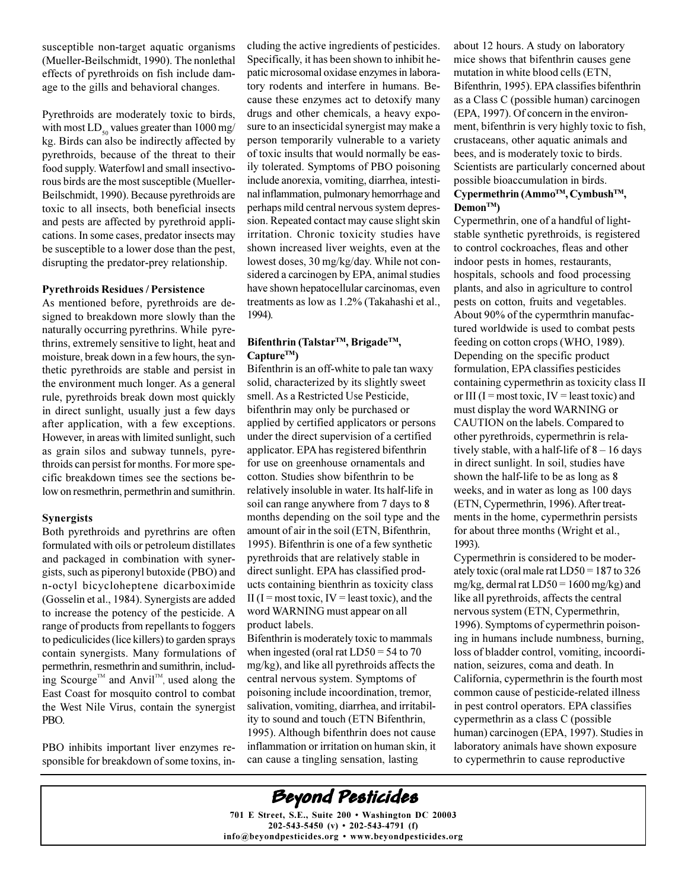susceptible non-target aquatic organisms (Mueller-Beilschmidt, 1990). The nonlethal effects of pyrethroids on fish include damage to the gills and behavioral changes.

Pyrethroids are moderately toxic to birds, with most  $LD_{50}$  values greater than 1000 mg/ kg. Birds can also be indirectly affected by pyrethroids, because of the threat to their food supply. Waterfowl and small insectivorous birds are the most susceptible (Mueller-Beilschmidt, 1990). Because pyrethroids are toxic to all insects, both beneficial insects and pests are affected by pyrethroid applications. In some cases, predator insects may be susceptible to a lower dose than the pest, disrupting the predator-prey relationship.

#### **Pyrethroids Residues / Persistence**

As mentioned before, pyrethroids are designed to breakdown more slowly than the naturally occurring pyrethrins. While pyrethrins, extremely sensitive to light, heat and moisture, break down in a few hours, the synthetic pyrethroids are stable and persist in the environment much longer. As a general rule, pyrethroids break down most quickly in direct sunlight, usually just a few days after application, with a few exceptions. However, in areas with limited sunlight, such as grain silos and subway tunnels, pyrethroids can persist for months. For more specific breakdown times see the sections below on resmethrin, permethrin and sumithrin.

#### **Synergists**

Both pyrethroids and pyrethrins are often formulated with oils or petroleum distillates and packaged in combination with synergists, such as piperonyl butoxide (PBO) and n-octyl bicycloheptene dicarboximide (Gosselin et al., 1984). Synergists are added to increase the potency of the pesticide. A range of products from repellants to foggers to pediculicides (lice killers) to garden sprays contain synergists. Many formulations of permethrin, resmethrin and sumithrin, including Scourge<sup>™</sup> and Anvil<sup>™</sup>, used along the East Coast for mosquito control to combat the West Nile Virus, contain the synergist PBO.

PBO inhibits important liver enzymes responsible for breakdown of some toxins, including the active ingredients of pesticides. Specifically, it has been shown to inhibit hepatic microsomal oxidase enzymes in laboratory rodents and interfere in humans. Because these enzymes act to detoxify many drugs and other chemicals, a heavy exposure to an insecticidal synergist may make a person temporarily vulnerable to a variety of toxic insults that would normally be easily tolerated. Symptoms of PBO poisoning include anorexia, vomiting, diarrhea, intestinal inflammation, pulmonary hemorrhage and perhaps mild central nervous system depression. Repeated contact may cause slight skin irritation. Chronic toxicity studies have shown increased liver weights, even at the lowest doses, 30 mg/kg/day. While not considered a carcinogen by EPA, animal studies have shown hepatocellular carcinomas, even treatments as low as 1.2% (Takahashi et al., 1994).

#### Bifenthrin (Talstar™, Brigade™,  $Capture^{TM}$

Bifenthrin is an off-white to pale tan waxy solid, characterized by its slightly sweet smell. As a Restricted Use Pesticide, bifenthrin may only be purchased or applied by certified applicators or persons under the direct supervision of a certified applicator. EPA has registered bifenthrin for use on greenhouse ornamentals and cotton. Studies show bifenthrin to be relatively insoluble in water. Its half-life in soil can range anywhere from 7 days to 8 months depending on the soil type and the amount of air in the soil (ETN, Bifenthrin, 1995). Bifenthrin is one of a few synthetic pyrethroids that are relatively stable in direct sunlight. EPA has classified products containing bienthrin as toxicity class II (I = most toxic, IV = least toxic), and the word WARNING must appear on all product labels.

Bifenthrin is moderately toxic to mammals when ingested (oral rat  $LD50 = 54$  to 70 mg/kg), and like all pyrethroids affects the central nervous system. Symptoms of poisoning include incoordination, tremor, salivation, vomiting, diarrhea, and irritability to sound and touch (ETN Bifenthrin, 1995). Although bifenthrin does not cause inflammation or irritation on human skin, it can cause a tingling sensation, lasting

about 12 hours. A study on laboratory mice shows that bifenthrin causes gene mutation in white blood cells (ETN, Bifenthrin, 1995). EPA classifies bifenthrin as a Class C (possible human) carcinogen (EPA, 1997). Of concern in the environment, bifenthrin is very highly toxic to fish, crustaceans, other aquatic animals and bees, and is moderately toxic to birds. Scientists are particularly concerned about possible bioaccumulation in birds.

#### Cypermethrin (Ammo<sup>™</sup>, Cymbush<sup>™</sup>,  $Demon^{TM}$

Cypermethrin, one of a handful of lightstable synthetic pyrethroids, is registered to control cockroaches, fleas and other indoor pests in homes, restaurants, hospitals, schools and food processing plants, and also in agriculture to control pests on cotton, fruits and vegetables. About 90% of the cypermthrin manufactured worldwide is used to combat pests feeding on cotton crops (WHO, 1989). Depending on the specific product formulation, EPA classifies pesticides containing cypermethrin as toxicity class II or III (I = most toxic, IV = least toxic) and must display the word WARNING or CAUTION on the labels. Compared to other pyrethroids, cypermethrin is relatively stable, with a half-life of  $8 - 16$  days in direct sunlight. In soil, studies have shown the half-life to be as long as 8 weeks, and in water as long as 100 days (ETN, Cypermethrin, 1996). After treatments in the home, cypermethrin persists for about three months (Wright et al., 1993).

Cypermethrin is considered to be moderately toxic (oral male rat  $LD50 = 187$  to 326 mg/kg, dermal rat  $LD50 = 1600$  mg/kg) and like all pyrethroids, affects the central nervous system (ETN, Cypermethrin, 1996). Symptoms of cypermethrin poisoning in humans include numbness, burning, loss of bladder control, vomiting, incoordination, seizures, coma and death. In California, cypermethrin is the fourth most common cause of pesticide-related illness in pest control operators. EPA classifies cypermethrin as a class C (possible human) carcinogen (EPA, 1997). Studies in laboratory animals have shown exposure to cypermethrin to cause reproductive

### **Beyond Pesticides**

701 E Street, S.E., Suite 200 · Washington DC 20003  $202 - 543 - 5450$  (v) • 202-543-4791 (f) info@beyondpesticides.org . www.beyondpesticides.org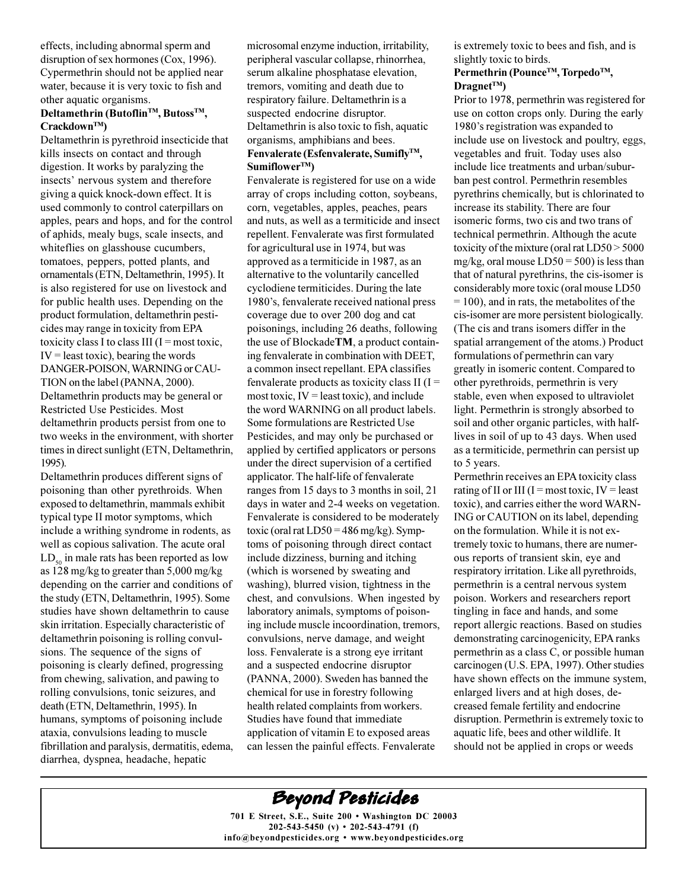effects, including abnormal sperm and disruption of sex hormones (Cox, 1996). Cypermethrin should not be applied near water, because it is very toxic to fish and other aquatic organisms.

#### Deltamethrin (Butoflin<sup>™</sup>, Butoss™,  $Crackdown^{TM}$ )

Deltamethrin is pyrethroid insecticide that kills insects on contact and through digestion. It works by paralyzing the insects' nervous system and therefore giving a quick knock-down effect. It is used commonly to control caterpillars on apples, pears and hops, and for the control of aphids, mealy bugs, scale insects, and whiteflies on glasshouse cucumbers, tomatoes, peppers, potted plants, and ornamentals (ETN, Deltamethrin, 1995). It is also registered for use on livestock and for public health uses. Depending on the product formulation, deltamethrin pesticides may range in toxicity from EPA toxicity class I to class III ( $I = most toxic$ ,  $IV =$  least toxic), bearing the words DANGER-POISON, WARNING or CAU-TION on the label (PANNA, 2000). Deltamethrin products may be general or Restricted Use Pesticides. Most deltamethrin products persist from one to two weeks in the environment, with shorter times in direct sunlight (ETN, Deltamethrin, 1995).

Deltamethrin produces different signs of poisoning than other pyrethroids. When exposed to deltamethrin, mammals exhibit typical type II motor symptoms, which include a writhing syndrome in rodents, as well as copious salivation. The acute oral  $LD_{50}$  in male rats has been reported as low as 128 mg/kg to greater than 5,000 mg/kg depending on the carrier and conditions of the study (ETN, Deltamethrin, 1995). Some studies have shown deltamethrin to cause skin irritation. Especially characteristic of deltamethrin poisoning is rolling convulsions. The sequence of the signs of poisoning is clearly defined, progressing from chewing, salivation, and pawing to rolling convulsions, tonic seizures, and death (ETN, Deltamethrin, 1995). In humans, symptoms of poisoning include ataxia, convulsions leading to muscle fibrillation and paralysis, dermatitis, edema, diarrhea, dyspnea, headache, hepatic

microsomal enzyme induction, irritability, peripheral vascular collapse, rhinorrhea, serum alkaline phosphatase elevation, tremors, vomiting and death due to respiratory failure. Deltamethrin is a suspected endocrine disruptor. Deltamethrin is also toxic to fish, aquatic organisms, amphibians and bees. Fenvalerate (Esfenvalerate, Sumifly™,  $Sumiflower^{TM})$ 

Fenvalerate is registered for use on a wide array of crops including cotton, soybeans, corn, vegetables, apples, peaches, pears and nuts, as well as a termiticide and insect repellent. Fenvalerate was first formulated for agricultural use in 1974, but was approved as a termiticide in 1987, as an alternative to the voluntarily cancelled cyclodiene termiticides. During the late 1980's, fenvalerate received national press coverage due to over 200 dog and cat poisonings, including 26 deaths, following the use of BlockadeTM, a product containing fenvalerate in combination with DEET, a common insect repellant. EPA classifies fenvalerate products as toxicity class II ( $I =$ most toxic,  $IV =$  least toxic), and include the word WARNING on all product labels. Some formulations are Restricted Use Pesticides, and may only be purchased or applied by certified applicators or persons under the direct supervision of a certified applicator. The half-life of fenvalerate ranges from 15 days to 3 months in soil, 21 days in water and 2-4 weeks on vegetation. Fenvalerate is considered to be moderately toxic (oral rat  $LD50 = 486$  mg/kg). Symptoms of poisoning through direct contact include dizziness, burning and itching (which is worsened by sweating and washing), blurred vision, tightness in the chest, and convulsions. When ingested by laboratory animals, symptoms of poisoning include muscle incoordination, tremors, convulsions, nerve damage, and weight loss. Fenvalerate is a strong eye irritant and a suspected endocrine disruptor (PANNA, 2000). Sweden has banned the chemical for use in forestry following health related complaints from workers. Studies have found that immediate application of vitamin E to exposed areas can lessen the painful effects. Fenvalerate

is extremely toxic to bees and fish, and is slightly toxic to birds.

#### Permethrin (Pounce™, Torpedo™,  $\text{Dragnet}^{\text{TM}}$

Prior to 1978, permethrin was registered for use on cotton crops only. During the early 1980's registration was expanded to include use on livestock and poultry, eggs, vegetables and fruit. Today uses also include lice treatments and urban/suburban pest control. Permethrin resembles pyrethrins chemically, but is chlorinated to increase its stability. There are four isomeric forms, two cis and two trans of technical permethrin. Although the acute toxicity of the mixture (oral rat  $LD50 > 5000$ mg/kg, oral mouse  $LD50 = 500$  is less than that of natural pyrethrins, the cis-isomer is considerably more toxic (oral mouse LD50  $= 100$ ), and in rats, the metabolites of the cis-isomer are more persistent biologically. (The cis and trans isomers differ in the spatial arrangement of the atoms.) Product formulations of permethrin can vary greatly in isomeric content. Compared to other pyrethroids, permethrin is very stable, even when exposed to ultraviolet light. Permethrin is strongly absorbed to soil and other organic particles, with halflives in soil of up to 43 days. When used as a termiticide, permethrin can persist up to 5 years.

Permethrin receives an EPA toxicity class rating of II or III (I = most toxic, IV = least toxic), and carries either the word WARN-ING or CAUTION on its label, depending on the formulation. While it is not extremely toxic to humans, there are numerous reports of transient skin, eye and respiratory irritation. Like all pyrethroids, permethrin is a central nervous system poison. Workers and researchers report tingling in face and hands, and some report allergic reactions. Based on studies demonstrating carcinogenicity, EPA ranks permethrin as a class C, or possible human carcinogen (U.S. EPA, 1997). Other studies have shown effects on the immune system, enlarged livers and at high doses, decreased female fertility and endocrine disruption. Permethrin is extremely toxic to aquatic life, bees and other wildlife. It should not be applied in crops or weeds

**Beyond Pesticides** 

701 E Street, S.E., Suite 200 · Washington DC 20003  $202 - 543 - 5450$  (v)  $\cdot$  202-543-4791 (f) info@beyondpesticides.org . www.beyondpesticides.org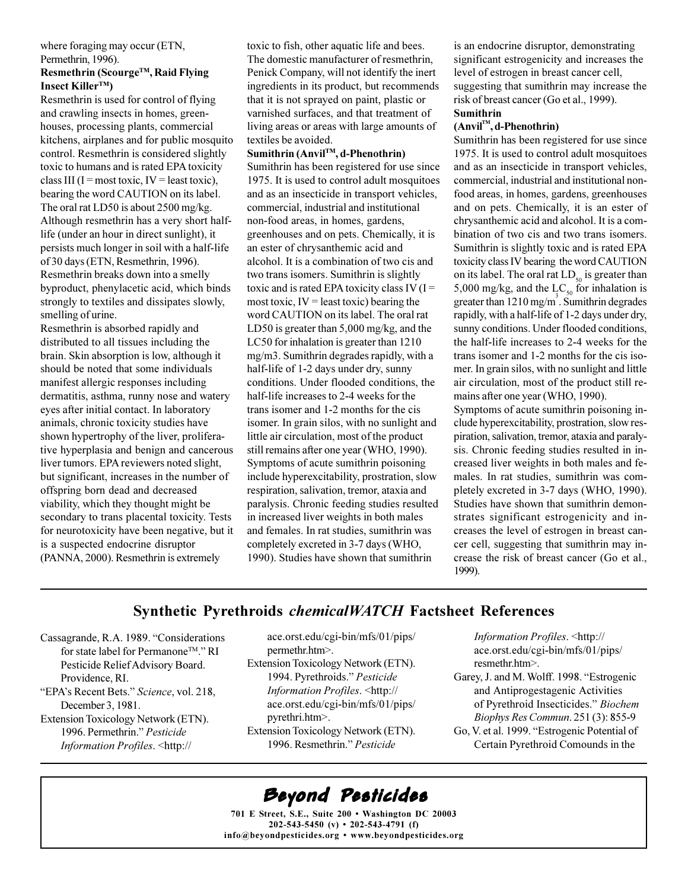#### where foraging may occur (ETN, Permethrin, 1996).

#### Resmethrin (Scourge™, Raid Flying Insect Killer<sup>TM</sup>)

Resmethrin is used for control of flying and crawling insects in homes, greenhouses, processing plants, commercial kitchens, airplanes and for public mosquito control. Resmethrin is considered slightly toxic to humans and is rated EPA toxicity class III (I = most toxic, IV = least toxic), bearing the word CAUTION on its label. The oral rat LD50 is about 2500 mg/kg. Although resmethrin has a very short halflife (under an hour in direct sunlight), it persists much longer in soil with a half-life of 30 days (ETN, Resmethrin, 1996). Resmethrin breaks down into a smelly byproduct, phenylacetic acid, which binds strongly to textiles and dissipates slowly, smelling of urine.

Resmethrin is absorbed rapidly and distributed to all tissues including the brain. Skin absorption is low, although it should be noted that some individuals manifest allergic responses including dermatitis, asthma, runny nose and watery eyes after initial contact. In laboratory animals, chronic toxicity studies have shown hypertrophy of the liver, proliferative hyperplasia and benign and cancerous liver tumors. EPA reviewers noted slight, but significant, increases in the number of offspring born dead and decreased viability, which they thought might be secondary to trans placental toxicity. Tests for neurotoxicity have been negative, but it is a suspected endocrine disruptor (PANNA, 2000). Resmethrin is extremely

toxic to fish, other aquatic life and bees. The domestic manufacturer of resmethrin, Penick Company, will not identify the inert ingredients in its product, but recommends that it is not sprayed on paint, plastic or varnished surfaces, and that treatment of living areas or areas with large amounts of textiles be avoided.

#### Sumithrin (Anvil™, d-Phenothrin)

Sumithrin has been registered for use since 1975. It is used to control adult mosquitoes and as an insecticide in transport vehicles, commercial, industrial and institutional non-food areas, in homes, gardens, greenhouses and on pets. Chemically, it is an ester of chrysanthemic acid and alcohol. It is a combination of two cis and two trans isomers. Sumithrin is slightly toxic and is rated EPA toxicity class IV ( $I =$ most toxic,  $IV =$  least toxic) bearing the word CAUTION on its label. The oral rat LD50 is greater than  $5,000$  mg/kg, and the LC50 for inhalation is greater than 1210 mg/m3. Sumithrin degrades rapidly, with a half-life of 1-2 days under dry, sunny conditions. Under flooded conditions, the half-life increases to 2-4 weeks for the trans isomer and 1-2 months for the cis isomer. In grain silos, with no sunlight and little air circulation, most of the product still remains after one year (WHO, 1990). Symptoms of acute sumithrin poisoning include hyperexcitability, prostration, slow respiration, salivation, tremor, ataxia and paralysis. Chronic feeding studies resulted in increased liver weights in both males and females. In rat studies, sumithrin was completely excreted in 3-7 days (WHO, 1990). Studies have shown that sumithrin

is an endocrine disruptor, demonstrating significant estrogenicity and increases the level of estrogen in breast cancer cell, suggesting that sumithrin may increase the risk of breast cancer (Go et al., 1999). **Sumithrin** 

#### $(Anvil<sup>TM</sup>, d-Phenothrin)$

Sumithrin has been registered for use since 1975. It is used to control adult mosquitoes and as an insecticide in transport vehicles, commercial, industrial and institutional nonfood areas, in homes, gardens, greenhouses and on pets. Chemically, it is an ester of chrysanthemic acid and alcohol. It is a combination of two cis and two trans isomers. Sumithrin is slightly toxic and is rated EPA toxicity class IV bearing the word CAUTION on its label. The oral rat  $LD_{50}$  is greater than 5,000 mg/kg, and the  $LC_{50}$  for inhalation is greater than  $1210 \text{ mg/m}^3$ . Sumithrin degrades rapidly, with a half-life of 1-2 days under dry, sunny conditions. Under flooded conditions, the half-life increases to 2-4 weeks for the trans isomer and 1-2 months for the cis isomer. In grain silos, with no sunlight and little air circulation, most of the product still remains after one year (WHO, 1990).

Symptoms of acute sumithrin poisoning include hyperexcitability, prostration, slow respiration, salivation, tremor, ataxia and paralysis. Chronic feeding studies resulted in increased liver weights in both males and females. In rat studies, sumithrin was completely excreted in 3-7 days (WHO, 1990). Studies have shown that sumithrin demonstrates significant estrogenicity and increases the level of estrogen in breast cancer cell, suggesting that sumithrin may increase the risk of breast cancer (Go et al., 1999).

#### **Synthetic Pyrethroids chemicalWATCH Factsheet References**

- Cassagrande, R.A. 1989. "Considerations for state label for Permanone™." RI Pesticide Relief Advisory Board. Providence, RI.
- "EPA's Recent Bets." Science, vol. 218, December 3, 1981. Extension Toxicology Network (ETN).
- 1996. Permethrin." Pesticide Information Profiles. < http://
- ace.orst.edu/cgi-bin/mfs/01/pips/ permethr.htm>.
- Extension Toxicology Network (ETN). 1994. Pyrethroids." Pesticide Information Profiles. < http:// ace.orst.edu/cgi-bin/mfs/01/pips/ pyrethri.htm>. Extension Toxicology Network (ETN). 1996. Resmethrin." Pesticide

Information Profiles. <http:// ace.orst.edu/cgi-bin/mfs/01/pips/ resmethr.htm>.

- Garey, J. and M. Wolff. 1998. "Estrogenic and Antiprogestagenic Activities of Pyrethroid Insecticides." Biochem Biophys Res Commun. 251 (3): 855-9
- Go, V. et al. 1999. "Estrogenic Potential of Certain Pyrethroid Comounds in the

## Beyond Pesticides

701 E Street, S.E., Suite 200 • Washington DC 20003  $202 - 543 - 5450$  (v)  $\cdot$  202-543-4791 (f) info@beyondpesticides.org . www.beyondpesticides.org